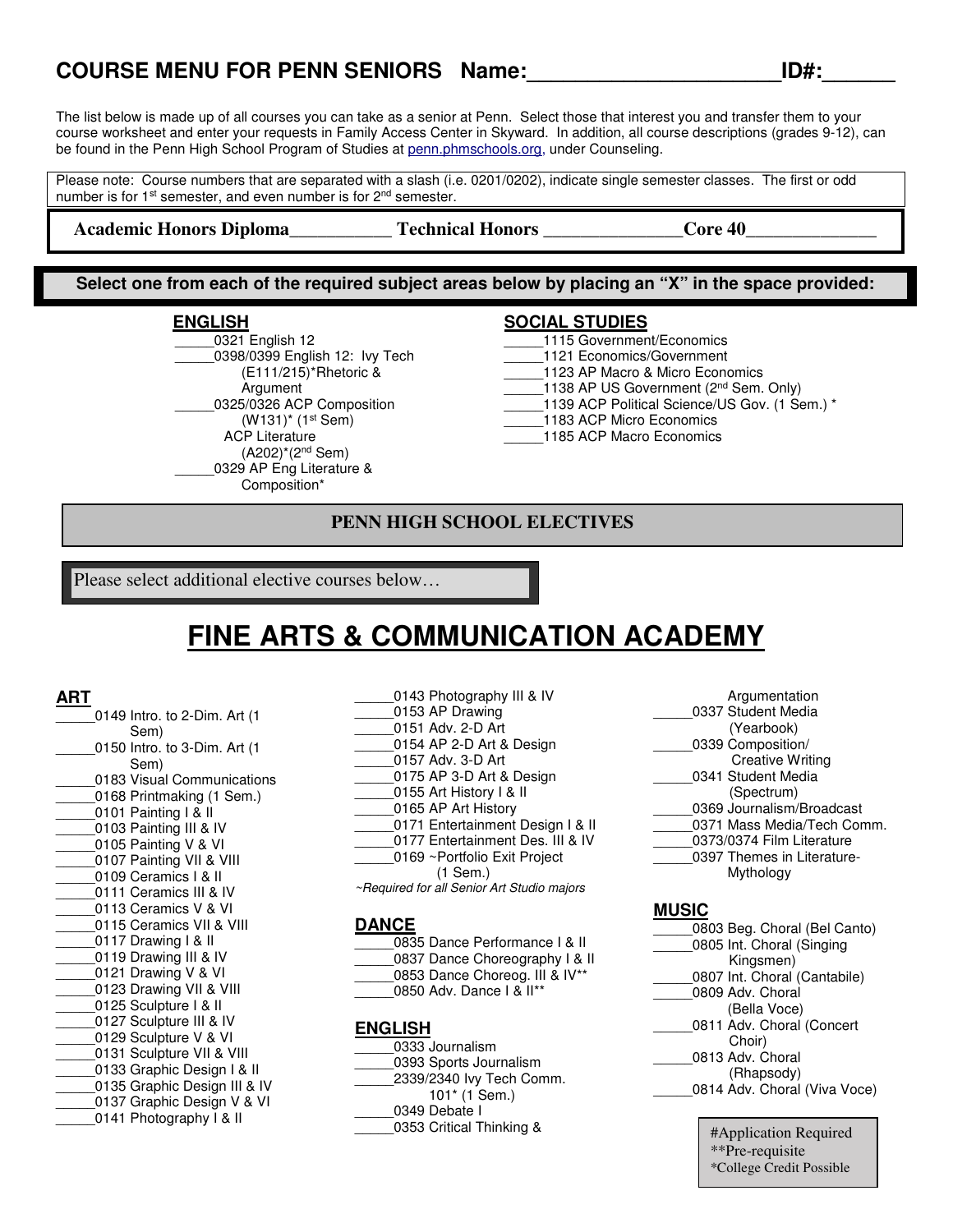### **COURSE MENU FOR PENN SENIORS Name:\_\_\_\_\_\_\_\_\_\_\_\_\_\_\_\_\_\_\_\_\_ID#:\_\_\_\_\_\_**

The list below is made up of all courses you can take as a senior at Penn. Select those that interest you and transfer them to your course worksheet and enter your requests in Family Access Center in Skyward. In addition, all course descriptions (grades 9-12), can be found in the Penn High School Program of Studies at penn.phmschools.org, under Counseling.

Please note: Course numbers that are separated with a slash (i.e. 0201/0202), indicate single semester classes. The first or odd number is for 1<sup>st</sup> semester, and even number is for 2<sup>nd</sup> semester.

Academic Honors Diploma\_\_\_\_\_\_\_\_\_\_\_\_\_Technical Honors \_\_\_\_\_\_\_\_\_\_\_\_\_\_\_Core 40\_

**Select one from each of the required subject areas below by placing an "X" in the space provided:**

#### **ENGLISH**

\_\_\_\_\_0321 English 12 \_\_\_\_\_0398/0399 English 12: Ivy Tech (E111/215)\*Rhetoric & Argument 0325/0326 ACP Composition (W131)\* (1st Sem) ACP Literature (A202)\*(2nd Sem) \_\_\_\_\_0329 AP Eng Literature & Composition\*

#### **SOCIAL STUDIES**

- \_\_\_\_\_1115 Government/Economics
- \_\_\_\_\_1121 Economics/Government
- 1123 AP Macro & Micro Economics
- $-$ 1138 AP US Government ( $2<sup>nd</sup>$  Sem. Only)
- \_\_\_\_\_1139 ACP Political Science/US Gov. (1 Sem.) \*
- \_\_\_\_\_1183 ACP Micro Economics
- 1185 ACP Macro Economics

#### **PENN HIGH SCHOOL ELECTIVES**

Please select additional elective courses below…

## **FINE ARTS & COMMUNICATION ACADEMY**

#### **ART**

- \_\_\_\_\_0149 Intro. to 2-Dim. Art (1 Sem) \_\_\_\_\_0150 Intro. to 3-Dim. Art (1 Sem) 0183 Visual Communications 0168 Printmaking (1 Sem.) 0101 Painting I & II \_\_\_\_\_0103 Painting III & IV \_\_\_\_\_0105 Painting V & VI 0107 Painting VII & VIII 0109 Ceramics I & II \_\_\_\_\_0111 Ceramics III & IV 0113 Ceramics V & VI 0115 Ceramics VII & VIII 0117 Drawing I & II 0119 Drawing III & IV 0121 Drawing V & VI \_\_\_\_\_0123 Drawing VII & VIII \_\_\_\_\_0125 Sculpture I & II \_\_\_\_\_0127 Sculpture III & IV 0129 Sculpture V & VI 0131 Sculpture VII & VIII \_\_\_\_\_0133 Graphic Design I & II 0135 Graphic Design III & IV 0137 Graphic Design V & VI \_\_\_\_\_0141 Photography I & II
- 0143 Photography III & IV 0153 AP Drawing \_\_\_\_\_0151 Adv. 2-D Art 0154 AP 2-D Art & Design \_\_\_\_\_0157 Adv. 3-D Art 0175 AP 3-D Art & Design \_\_\_\_\_0155 Art History I & II 0165 AP Art History \_\_\_\_\_0171 Entertainment Design I & II 0177 Entertainment Des. III & IV \_\_\_\_\_0169 ~Portfolio Exit Project (1 Sem.) ~Required for all Senior Art Studio majors

#### **DANCE**

|  | 0835 Dance Performance   & II  |  |
|--|--------------------------------|--|
|  | 0837 Dance Choreography I & II |  |
|  | 0853 Dance Choreog. III & IV** |  |

0850 Adv. Dance I & II\*\*

#### **ENGLISH**

| Argumentation              |
|----------------------------|
| 0337 Student Media         |
| (Yearbook)                 |
| 0339 Composition/          |
| <b>Creative Writing</b>    |
| 0341 Student Media         |
| (Spectrum)                 |
| 0369 Journalism/Broadcast  |
| 0371 Mass Media/Tech Comm. |
| 0373/0374 Film Literature  |
| 0397 Themes in Literature- |
| Mythology                  |

#### **MUSIC**

| 0803 Beg. Choral (Bel Canto) |
|------------------------------|
| 0805 Int. Choral (Singing    |
| Kingsmen)                    |
| 0807 Int. Choral (Cantabile) |
| 0809 Adv. Choral             |
| (Bella Voce)                 |
| 0811 Adv. Choral (Concert    |
| Choir)                       |
| 0813 Adv. Choral             |
| (Rhapsody)                   |
| 0814 Adv. Choral (Viva Voce) |
|                              |
| #Application Required        |

#Application Required \*\*Pre-requisite \*College Credit Possible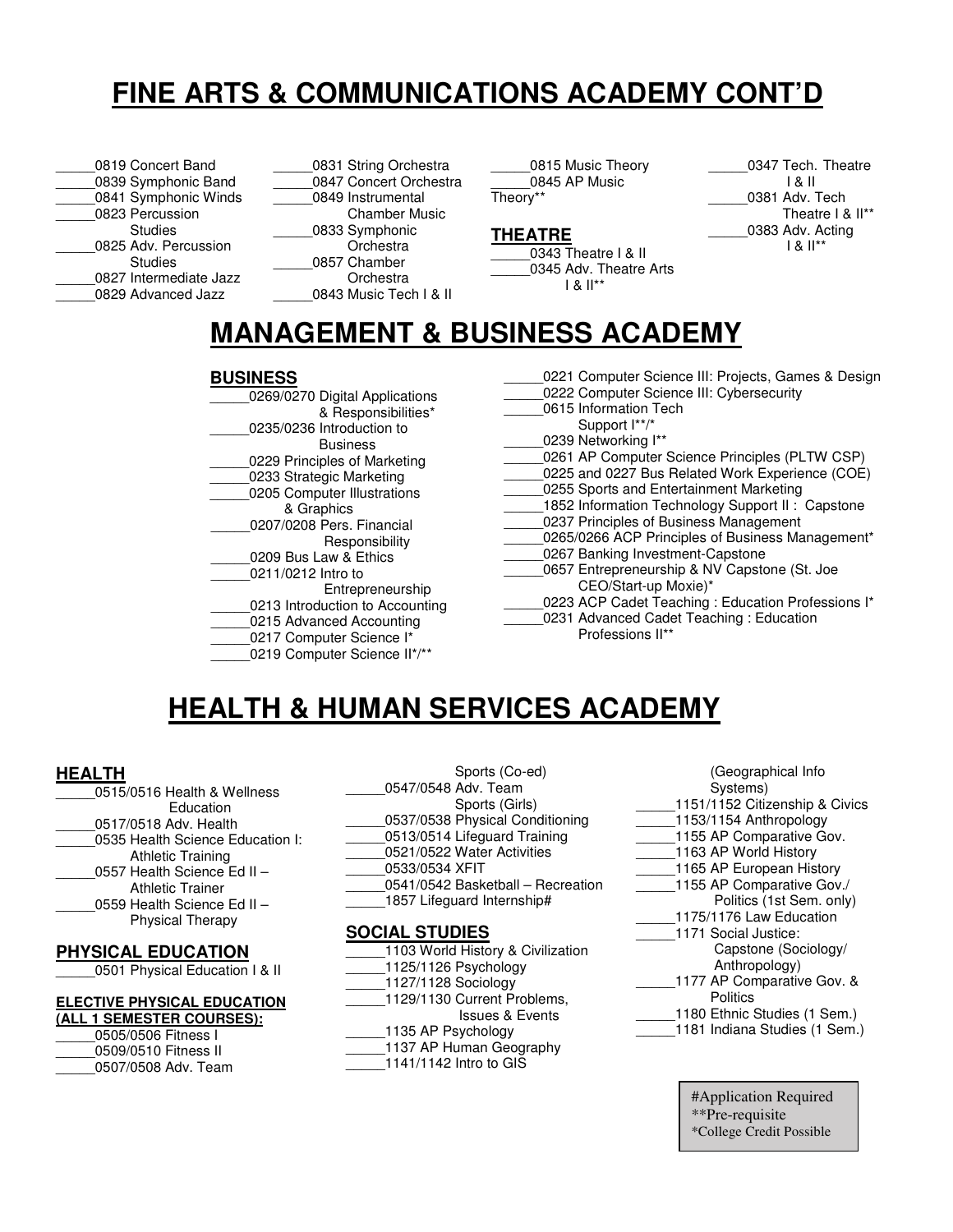# **FINE ARTS & COMMUNICATIONS ACADEMY CONT'D**

| 0819 Concert Band      |
|------------------------|
| 0839 Symphonic Band    |
| 0841 Symphonic Winds   |
| 0823 Percussion        |
| <b>Studies</b>         |
| 0825 Adv. Percussion   |
| Studies                |
| 0827 Intermediate Jazz |
| 0829 Advanced Jazz     |
|                        |

0831 String Orchestra 0847 Concert Orchestra \_\_\_\_\_0849 Instrumental Chamber Music \_\_\_\_\_0833 Symphonic **Orchestra** 0857 Chamber Orchestra 0843 Music Tech I & II

0815 Music Theory \_\_\_\_\_0845 AP Music Theory\*\*

#### **THEATRE**

0343 Theatre I & II 0345 Adv. Theatre Arts  $1 & 8$   $1^*$ 

0347 Tech. Theatre I & II 0381 Adv. Tech Theatre I & II\*\* 0383 Adv. Acting I & II\*\*

# **MANAGEMENT & BUSINESS ACADEMY**

#### **BUSINESS**

| 0269/0270 Digital Applications  |
|---------------------------------|
| & Responsibilities*             |
| 0235/0236 Introduction to       |
| <b>Business</b>                 |
| 0229 Principles of Marketing    |
| 0233 Strategic Marketing        |
| 0205 Computer Illustrations     |
| & Graphics                      |
| 0207/0208 Pers. Financial       |
| Responsibility                  |
| 0209 Bus Law & Ethics           |
| 0211/0212 Intro to              |
| Entrepreneurship                |
| 0213 Introduction to Accounting |
| 0215 Advanced Accounting        |
| 0217 Computer Science I*        |
| 0219 Computer Science II*/**    |

| 0221 Computer Science III: Projects, Games & Design |
|-----------------------------------------------------|
| 0222 Computer Science III: Cybersecurity            |
| 0615 Information Tech                               |
| Support I**/*                                       |
| 0239 Networking I**                                 |
| 0261 AP Computer Science Principles (PLTW CSP)      |
| 0225 and 0227 Bus Related Work Experience (COE)     |
| 0255 Sports and Entertainment Marketing             |
| 1852 Information Technology Support II: Capstone    |
| 0237 Principles of Business Management              |
| 0265/0266 ACP Principles of Business Management*    |
| 0267 Banking Investment-Capstone                    |
| 0657 Entrepreneurship & NV Capstone (St. Joe        |
| CEO/Start-up Moxie)*                                |
| 0223 ACP Cadet Teaching: Education Professions I*   |
| 0231 Advanced Cadet Teaching: Education             |
| Professions II**                                    |
|                                                     |

## **HEALTH & HUMAN SERVICES ACADEMY**

#### **HEALTH**

| 0515/0516 Health & Wellness      |
|----------------------------------|
| Education                        |
| 0517/0518 Adv. Health            |
| 0535 Health Science Education I: |
| <b>Athletic Training</b>         |
| 0557 Health Science Ed II -      |
| <b>Athletic Trainer</b>          |
| 0559 Health Science Ed II -      |
| <b>Physical Therapy</b>          |
|                                  |

#### **PHYSICAL EDUCATION**

\_\_\_\_\_0501 Physical Education I & II

#### **ELECTIVE PHYSICAL EDUCATION**

| (ALL 1 SEMESTER COURSES): |
|---------------------------|
| 0505/0506 Fitness I       |
| 0509/0510 Fitness II      |

| <u>UJUJ/UJUU LIIII633 L</u> |
|-----------------------------|
| 0509/0510 Fitness II        |
| 0507/0508 Adv. Team         |

 Sports (Co-ed) \_\_\_\_\_0547/0548 Adv. Team Sports (Girls) 0537/0538 Physical Conditioning \_\_\_\_\_0513/0514 Lifeguard Training 0521/0522 Water Activities \_\_\_\_\_0533/0534 XFIT

- \_\_\_\_\_0541/0542 Basketball Recreation
- 1857 Lifeguard Internship#

#### **SOCIAL STUDIES**

| 1103 World History & Civilization |
|-----------------------------------|
| 1125/1126 Psychology              |
| 1127/1128 Sociology               |
| 1129/1130 Current Problems,       |
| <b>Issues &amp; Events</b>        |
| 1135 AP Psychology                |
| 1137 AP Human Geography           |
| 1141/1142 Intro to GIS            |
|                                   |

| (Geographical Info             |
|--------------------------------|
| Systems)                       |
| 1151/1152 Citizenship & Civics |
| 1153/1154 Anthropology         |
| 1155 AP Comparative Gov.       |
| 1163 AP World History          |
| 1165 AP European History       |
| 1155 AP Comparative Gov./      |
| Politics (1st Sem. only)       |
| 1175/1176 Law Education        |
| 1171 Social Justice:           |
| Capstone (Sociology/           |
| Anthropology)                  |
| 1177 AP Comparative Gov. &     |
| Politics                       |
| 1180 Ethnic Studies (1 Sem.)   |
| 1181 Indiana Studies (1 Sem.)  |
|                                |

#Application Required \*\*Pre-requisite \*College Credit Possible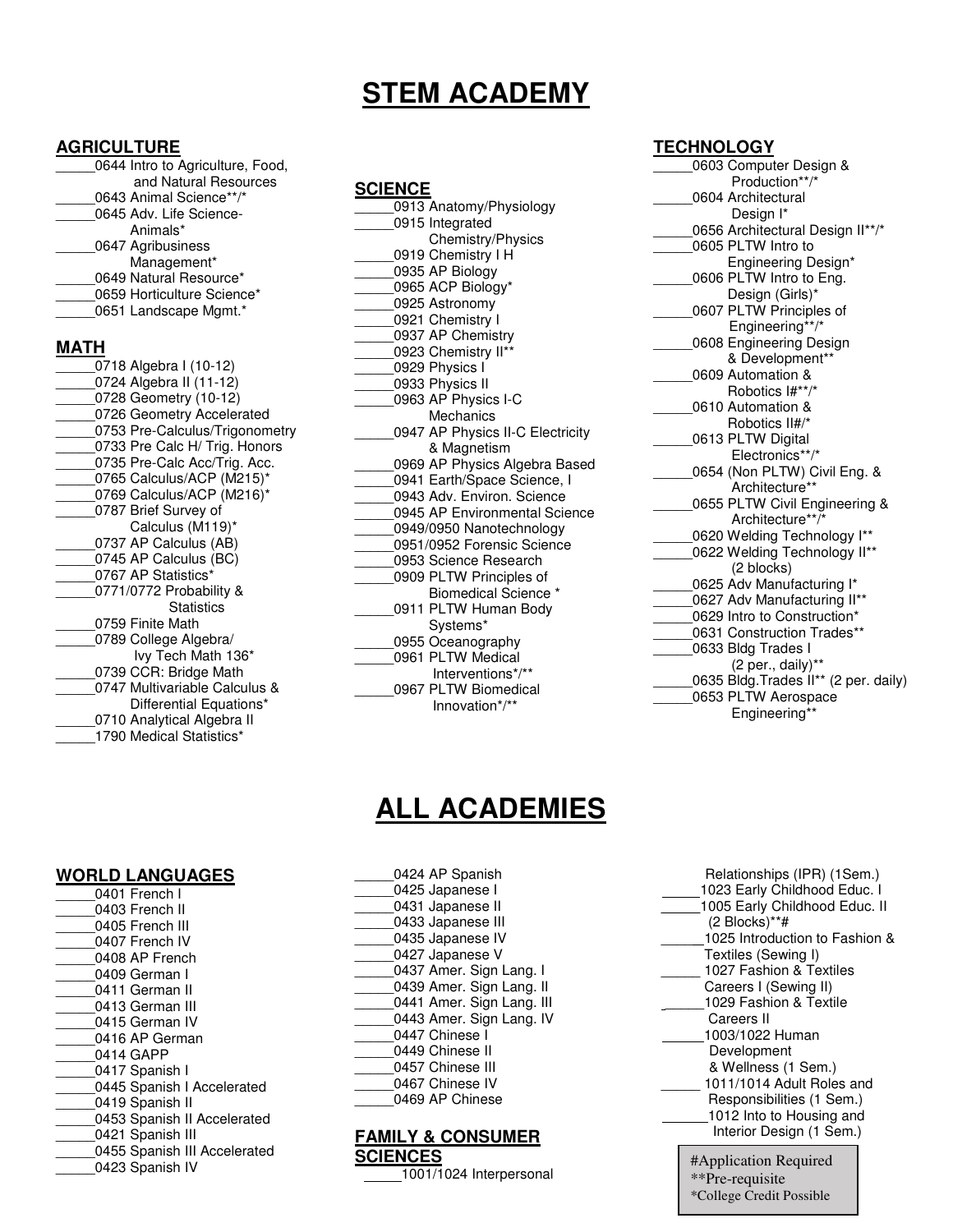# **STEM ACADEMY**

### **AGRICULTURE**

| <b>AGRICULTURE</b> |                                  |
|--------------------|----------------------------------|
|                    | 0644 Intro to Agriculture, Food, |
|                    | and Natural Resources            |
|                    | 0643 Animal Science**/*          |
|                    | 0645 Adv. Life Science-          |
|                    | Animals*                         |
|                    | 0647 Agribusiness                |
|                    | Management*                      |
|                    | 0649 Natural Resource*           |
|                    | 0659 Horticulture Science*       |
|                    | 0651 Landscape Mgmt.*            |
| MATH               |                                  |
|                    | 0718 Algebra I (10-12)           |
|                    | 0724 Algebra II (11-12)          |
|                    | 0728 Geometry (10-12)            |
|                    | 0726 Geometry Accelerated        |
|                    | 0753 Pre-Calculus/Trigonometry   |
|                    | 0733 Pre Calc H/ Trig. Honors    |
|                    | 0735 Pre-Calc Acc/Trig. Acc.     |
|                    | 0765 Calculus/ACP (M215)*        |
|                    | 0769 Calculus/ACP (M216)*        |
|                    | 0787 Brief Survey of             |
|                    | Calculus (M119)*                 |
|                    | 0737 AP Calculus (AB)            |
|                    | 0745 AP Calculus (BC)            |
|                    | 0767 AP Statistics*              |
|                    | 0771/0772 Probability &          |
|                    | <b>Statistics</b>                |
|                    | 0759 Finite Math                 |
|                    | 0789 College Algebra/            |
|                    | Ivy Tech Math 136*               |
|                    | 0739 CCR: Bridge Math            |
|                    | 0747 Multivariable Calculus &    |
|                    | Differential Equations*          |
|                    | 0710 Analytical Algebra II       |
|                    | 1790 Medical Statistics*         |
|                    |                                  |

| <u>SCIENCE</u>                                         |
|--------------------------------------------------------|
| 0913 Anatomy/Physiology                                |
| 0915 Integrated                                        |
| Chemistry/Physics                                      |
| 0919 Chemistry I H                                     |
| 0935 AP Biology                                        |
| 0965 ACP Biology*                                      |
| 0925 Astronomy                                         |
| 0921 Chemistry I                                       |
| 0937 AP Chemistry                                      |
| 0923 Chemistry II**                                    |
| 0929 Physics I                                         |
| 0933 Physics II                                        |
| 0963 AP Physics I-C                                    |
| Mechanics                                              |
| 0947 AP Physics II-C Electricity                       |
| & Magnetism                                            |
| 0969 AP Physics Algebra Based                          |
| 0941 Earth/Space Science, I                            |
| 0943 Adv. Environ, Science                             |
| 0945 AP Environmental Science                          |
| 0949/0950 Nanotechnology                               |
| 0951/0952 Forensic Science                             |
| 0953 Science Research                                  |
| 0909 PLTW Principles of<br><b>Biomedical Science *</b> |
| 0911 PLTW Human Body                                   |
| Systems*                                               |
| 0955 Oceanography                                      |
| 0961 PLTW Medical                                      |
| Interventions*/**                                      |
| 0967 PLTW Biomedical                                   |
| Innovation*/**                                         |
|                                                        |

#### **TECHNOLOGY**

| 0603 Computer Design &                |
|---------------------------------------|
| Production**/*                        |
| 0604 Architectural                    |
| Design I*                             |
| 0656 Architectural Design II**/*      |
| 0605 PLTW Intro to                    |
| Engineering Design*                   |
| 0606 PLTW Intro to Eng.               |
| Design (Girls)*                       |
| 0607 PLTW Principles of               |
| Engineering**/*                       |
| 0608 Engineering Design               |
| & Development**                       |
| 0609 Automation &                     |
| Robotics I#**/*                       |
| 0610 Automation &                     |
| Robotics II#/*                        |
| 0613 PLTW Digital                     |
| Electronics**/*                       |
| 0654 (Non PLTW) Civil Eng. &          |
| Architecture**                        |
| 0655 PLTW Civil Engineering &         |
| Architecture**/*                      |
| 0620 Welding Technology I**           |
| 0622 Welding Technology II**          |
| (2 blocks)                            |
| 0625 Adv Manufacturing I*             |
| 0627 Adv Manufacturing II**           |
| 0629 Intro to Construction*           |
| 0631 Construction Trades**            |
| 0633 Bldg Trades I                    |
| (2 per., daily)**                     |
| 0635 Bldg. Trades II** (2 per. daily) |
| 0653 PLTW Aerospace                   |
| Engineering**                         |

## **ALL ACADEMIES**

#### **WORLD LANGUAGES**

| 0401 French I                |
|------------------------------|
| 0403 French II               |
| 0405 French III              |
| 0407 French IV               |
| 0408 AP French               |
| 0409 German I                |
| 0411 German II               |
| 0413 German III              |
| 0415 German IV               |
| 0416 AP German               |
| 0414 GAPP                    |
| 0417 Spanish I               |
| 0445 Spanish I Accelerated   |
| 0419 Spanish II              |
| 0453 Spanish II Accelerated  |
| 0421 Spanish III             |
| 0455 Spanish III Accelerated |
| 0423 Spanish IV              |

| 0424 AP Spanish           |
|---------------------------|
| 0425 Japanese I           |
| 0431 Japanese II          |
| 0433 Japanese III         |
| 0435 Japanese IV          |
| 0427 Japanese V           |
| 0437 Amer. Sign Lang. I   |
| 0439 Amer. Sign Lang. II  |
| 0441 Amer. Sign Lang. III |
| 0443 Amer. Sign Lang. IV  |
| 0447 Chinese I            |
| 0449 Chinese II           |
| 0457 Chinese III          |
| 0467 Chinese IV           |
| 0469 AP Chinese           |
|                           |

#### **FAMILY & CONSUMER SCIENCES**

1001/1024 Interpersonal

| Relationships (IPR) (1Sem.)<br>1023 Early Childhood Educ. I<br>1005 Early Childhood Educ. II<br>(2 Blocks)**#<br>1025 Introduction to Fashion &<br>Textiles (Sewing I)<br>1027 Fashion & Textiles |
|---------------------------------------------------------------------------------------------------------------------------------------------------------------------------------------------------|
| Careers I (Sewing II)                                                                                                                                                                             |
| 1029 Fashion & Textile                                                                                                                                                                            |
| Careers II                                                                                                                                                                                        |
| 1003/1022 Human                                                                                                                                                                                   |
| Development                                                                                                                                                                                       |
| & Wellness (1 Sem.)                                                                                                                                                                               |
| 1011/1014 Adult Roles and                                                                                                                                                                         |
| Responsibilities (1 Sem.)                                                                                                                                                                         |
| 1012 Into to Housing and                                                                                                                                                                          |
| Interior Design (1 Sem.)                                                                                                                                                                          |
| #Application Required<br>**Pre-requisite<br>*College Credit Possible                                                                                                                              |